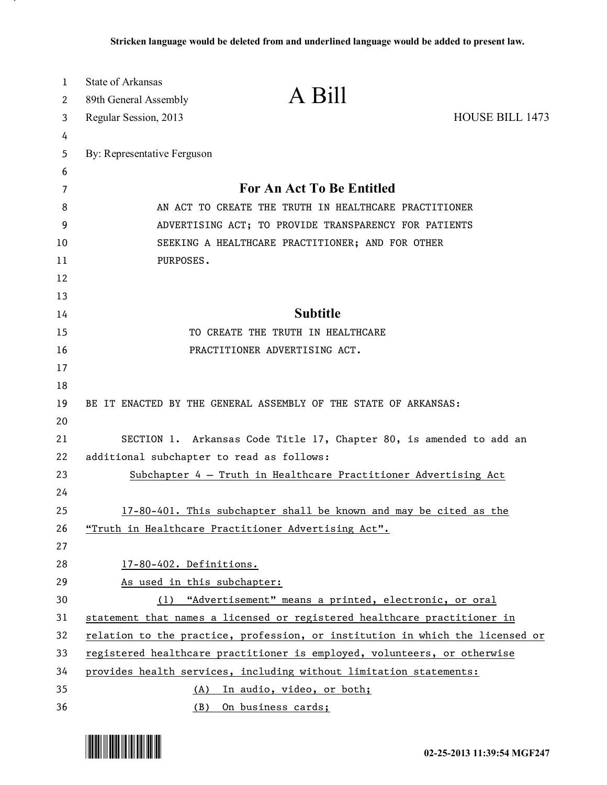| 89th General Assembly<br>2<br><b>HOUSE BILL 1473</b><br>Regular Session, 2013<br>3<br>4<br>By: Representative Ferguson<br>5<br>6<br>For An Act To Be Entitled<br>7<br>8<br>AN ACT TO CREATE THE TRUTH IN HEALTHCARE PRACTITIONER<br>9<br>ADVERTISING ACT; TO PROVIDE TRANSPARENCY FOR PATIENTS<br>10<br>SEEKING A HEALTHCARE PRACTITIONER; AND FOR OTHER<br>11<br>PURPOSES.<br>12<br>13<br><b>Subtitle</b><br>14<br>15<br>TO CREATE THE TRUTH IN HEALTHCARE<br>16<br>PRACTITIONER ADVERTISING ACT.<br>17<br>18<br>19<br>BE IT ENACTED BY THE GENERAL ASSEMBLY OF THE STATE OF ARKANSAS:<br>20<br>21<br>SECTION 1. Arkansas Code Title 17, Chapter 80, is amended to add an<br>22<br>additional subchapter to read as follows:<br>23<br>Subchapter 4 - Truth in Healthcare Practitioner Advertising Act<br>24<br>25<br>17-80-401. This subchapter shall be known and may be cited as the<br>26<br>"Truth in Healthcare Practitioner Advertising Act".<br>27<br>28<br>17-80-402. Definitions.<br>29<br>As used in this subchapter:<br>30<br>(1) "Advertisement" means a printed, electronic, or oral<br>31<br>statement that names a licensed or registered healthcare practitioner in<br>32<br>relation to the practice, profession, or institution in which the licensed or | 1  | <b>State of Arkansas</b> | A Bill |  |
|-----------------------------------------------------------------------------------------------------------------------------------------------------------------------------------------------------------------------------------------------------------------------------------------------------------------------------------------------------------------------------------------------------------------------------------------------------------------------------------------------------------------------------------------------------------------------------------------------------------------------------------------------------------------------------------------------------------------------------------------------------------------------------------------------------------------------------------------------------------------------------------------------------------------------------------------------------------------------------------------------------------------------------------------------------------------------------------------------------------------------------------------------------------------------------------------------------------------------------------------------------------------------------|----|--------------------------|--------|--|
|                                                                                                                                                                                                                                                                                                                                                                                                                                                                                                                                                                                                                                                                                                                                                                                                                                                                                                                                                                                                                                                                                                                                                                                                                                                                             |    |                          |        |  |
|                                                                                                                                                                                                                                                                                                                                                                                                                                                                                                                                                                                                                                                                                                                                                                                                                                                                                                                                                                                                                                                                                                                                                                                                                                                                             |    |                          |        |  |
|                                                                                                                                                                                                                                                                                                                                                                                                                                                                                                                                                                                                                                                                                                                                                                                                                                                                                                                                                                                                                                                                                                                                                                                                                                                                             |    |                          |        |  |
|                                                                                                                                                                                                                                                                                                                                                                                                                                                                                                                                                                                                                                                                                                                                                                                                                                                                                                                                                                                                                                                                                                                                                                                                                                                                             |    |                          |        |  |
|                                                                                                                                                                                                                                                                                                                                                                                                                                                                                                                                                                                                                                                                                                                                                                                                                                                                                                                                                                                                                                                                                                                                                                                                                                                                             |    |                          |        |  |
|                                                                                                                                                                                                                                                                                                                                                                                                                                                                                                                                                                                                                                                                                                                                                                                                                                                                                                                                                                                                                                                                                                                                                                                                                                                                             |    |                          |        |  |
|                                                                                                                                                                                                                                                                                                                                                                                                                                                                                                                                                                                                                                                                                                                                                                                                                                                                                                                                                                                                                                                                                                                                                                                                                                                                             |    |                          |        |  |
|                                                                                                                                                                                                                                                                                                                                                                                                                                                                                                                                                                                                                                                                                                                                                                                                                                                                                                                                                                                                                                                                                                                                                                                                                                                                             |    |                          |        |  |
|                                                                                                                                                                                                                                                                                                                                                                                                                                                                                                                                                                                                                                                                                                                                                                                                                                                                                                                                                                                                                                                                                                                                                                                                                                                                             |    |                          |        |  |
|                                                                                                                                                                                                                                                                                                                                                                                                                                                                                                                                                                                                                                                                                                                                                                                                                                                                                                                                                                                                                                                                                                                                                                                                                                                                             |    |                          |        |  |
|                                                                                                                                                                                                                                                                                                                                                                                                                                                                                                                                                                                                                                                                                                                                                                                                                                                                                                                                                                                                                                                                                                                                                                                                                                                                             |    |                          |        |  |
|                                                                                                                                                                                                                                                                                                                                                                                                                                                                                                                                                                                                                                                                                                                                                                                                                                                                                                                                                                                                                                                                                                                                                                                                                                                                             |    |                          |        |  |
|                                                                                                                                                                                                                                                                                                                                                                                                                                                                                                                                                                                                                                                                                                                                                                                                                                                                                                                                                                                                                                                                                                                                                                                                                                                                             |    |                          |        |  |
|                                                                                                                                                                                                                                                                                                                                                                                                                                                                                                                                                                                                                                                                                                                                                                                                                                                                                                                                                                                                                                                                                                                                                                                                                                                                             |    |                          |        |  |
|                                                                                                                                                                                                                                                                                                                                                                                                                                                                                                                                                                                                                                                                                                                                                                                                                                                                                                                                                                                                                                                                                                                                                                                                                                                                             |    |                          |        |  |
|                                                                                                                                                                                                                                                                                                                                                                                                                                                                                                                                                                                                                                                                                                                                                                                                                                                                                                                                                                                                                                                                                                                                                                                                                                                                             |    |                          |        |  |
|                                                                                                                                                                                                                                                                                                                                                                                                                                                                                                                                                                                                                                                                                                                                                                                                                                                                                                                                                                                                                                                                                                                                                                                                                                                                             |    |                          |        |  |
|                                                                                                                                                                                                                                                                                                                                                                                                                                                                                                                                                                                                                                                                                                                                                                                                                                                                                                                                                                                                                                                                                                                                                                                                                                                                             |    |                          |        |  |
|                                                                                                                                                                                                                                                                                                                                                                                                                                                                                                                                                                                                                                                                                                                                                                                                                                                                                                                                                                                                                                                                                                                                                                                                                                                                             |    |                          |        |  |
|                                                                                                                                                                                                                                                                                                                                                                                                                                                                                                                                                                                                                                                                                                                                                                                                                                                                                                                                                                                                                                                                                                                                                                                                                                                                             |    |                          |        |  |
|                                                                                                                                                                                                                                                                                                                                                                                                                                                                                                                                                                                                                                                                                                                                                                                                                                                                                                                                                                                                                                                                                                                                                                                                                                                                             |    |                          |        |  |
|                                                                                                                                                                                                                                                                                                                                                                                                                                                                                                                                                                                                                                                                                                                                                                                                                                                                                                                                                                                                                                                                                                                                                                                                                                                                             |    |                          |        |  |
|                                                                                                                                                                                                                                                                                                                                                                                                                                                                                                                                                                                                                                                                                                                                                                                                                                                                                                                                                                                                                                                                                                                                                                                                                                                                             |    |                          |        |  |
|                                                                                                                                                                                                                                                                                                                                                                                                                                                                                                                                                                                                                                                                                                                                                                                                                                                                                                                                                                                                                                                                                                                                                                                                                                                                             |    |                          |        |  |
|                                                                                                                                                                                                                                                                                                                                                                                                                                                                                                                                                                                                                                                                                                                                                                                                                                                                                                                                                                                                                                                                                                                                                                                                                                                                             |    |                          |        |  |
|                                                                                                                                                                                                                                                                                                                                                                                                                                                                                                                                                                                                                                                                                                                                                                                                                                                                                                                                                                                                                                                                                                                                                                                                                                                                             |    |                          |        |  |
|                                                                                                                                                                                                                                                                                                                                                                                                                                                                                                                                                                                                                                                                                                                                                                                                                                                                                                                                                                                                                                                                                                                                                                                                                                                                             |    |                          |        |  |
|                                                                                                                                                                                                                                                                                                                                                                                                                                                                                                                                                                                                                                                                                                                                                                                                                                                                                                                                                                                                                                                                                                                                                                                                                                                                             |    |                          |        |  |
|                                                                                                                                                                                                                                                                                                                                                                                                                                                                                                                                                                                                                                                                                                                                                                                                                                                                                                                                                                                                                                                                                                                                                                                                                                                                             |    |                          |        |  |
|                                                                                                                                                                                                                                                                                                                                                                                                                                                                                                                                                                                                                                                                                                                                                                                                                                                                                                                                                                                                                                                                                                                                                                                                                                                                             |    |                          |        |  |
| registered healthcare practitioner is employed, volunteers, or otherwise<br>34                                                                                                                                                                                                                                                                                                                                                                                                                                                                                                                                                                                                                                                                                                                                                                                                                                                                                                                                                                                                                                                                                                                                                                                              | 33 |                          |        |  |
| provides health services, including without limitation statements:<br>35<br>In audio, video, or both;<br>(A)                                                                                                                                                                                                                                                                                                                                                                                                                                                                                                                                                                                                                                                                                                                                                                                                                                                                                                                                                                                                                                                                                                                                                                |    |                          |        |  |
| 36<br>(B)<br>On business cards;                                                                                                                                                                                                                                                                                                                                                                                                                                                                                                                                                                                                                                                                                                                                                                                                                                                                                                                                                                                                                                                                                                                                                                                                                                             |    |                          |        |  |



.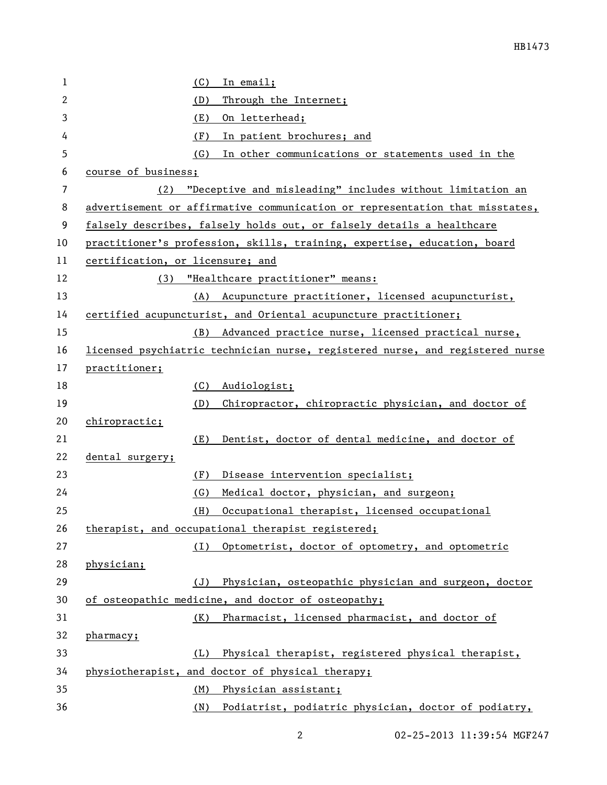| 1  | (C)<br>In email;                                                              |
|----|-------------------------------------------------------------------------------|
| 2  | Through the Internet;<br>(D)                                                  |
| 3  | (E)<br>On letterhead;                                                         |
| 4  | (F)<br>In patient brochures; and                                              |
| 5  | (G)<br>In other communications or statements used in the                      |
| 6  | course of business;                                                           |
| 7  | "Deceptive and misleading" includes without limitation an<br>(2)              |
| 8  | advertisement or affirmative communication or representation that misstates,  |
| 9  | falsely describes, falsely holds out, or falsely details a healthcare         |
| 10 | practitioner's profession, skills, training, expertise, education, board      |
| 11 | certification, or licensure; and                                              |
| 12 | (3) "Healthcare practitioner" means:                                          |
| 13 | (A) Acupuncture practitioner, licensed acupuncturist,                         |
| 14 | certified acupuncturist, and Oriental acupuncture practitioner;               |
| 15 | (B) Advanced practice nurse, licensed practical nurse,                        |
| 16 | licensed psychiatric technician nurse, registered nurse, and registered nurse |
| 17 | practitioner;                                                                 |
| 18 | Audiologist;<br>(C)                                                           |
| 19 | Chiropractor, chiropractic physician, and doctor of<br>(D)                    |
| 20 | chiropractic;                                                                 |
| 21 | Dentist, doctor of dental medicine, and doctor of<br>(E)                      |
| 22 | dental surgery;                                                               |
| 23 | Disease intervention specialist;<br>(F)                                       |
| 24 | (G)<br>Medical doctor, physician, and surgeon;                                |
| 25 | (H)<br>Occupational therapist, licensed occupational                          |
| 26 | therapist, and occupational therapist registered;                             |
| 27 | Optometrist, doctor of optometry, and optometric<br>(I)                       |
| 28 | physician;                                                                    |
| 29 | Physician, osteopathic physician and surgeon, doctor<br>(J)                   |
| 30 | of osteopathic medicine, and doctor of osteopathy;                            |
| 31 | Pharmacist, licensed pharmacist, and doctor of<br>(K)                         |
| 32 | pharmacy;                                                                     |
| 33 | Physical therapist, registered physical therapist,<br>(L)                     |
| 34 | physiotherapist, and doctor of physical therapy;                              |
| 35 | (M)<br>Physician assistant;                                                   |
| 36 | Podiatrist, podiatric physician, doctor of podiatry,<br>(N)                   |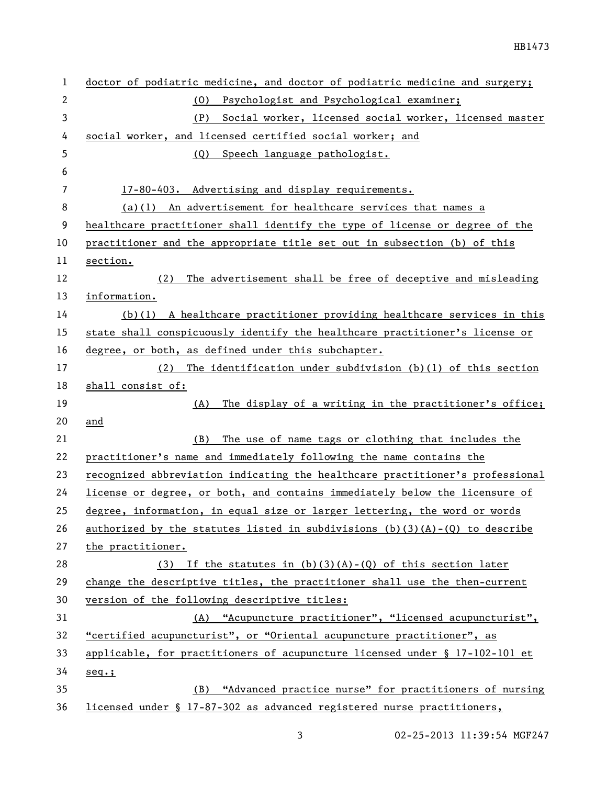| 1            | doctor of podiatric medicine, and doctor of podiatric medicine and surgery;     |
|--------------|---------------------------------------------------------------------------------|
| $\mathbf{2}$ | Psychologist and Psychological examiner;<br>(0)                                 |
| 3            | Social worker, licensed social worker, licensed master<br>(P)                   |
| 4            | social worker, and licensed certified social worker; and                        |
| 5            | (Q) Speech language pathologist.                                                |
| 6            |                                                                                 |
| 7            | 17-80-403. Advertising and display requirements.                                |
| 8            | $(a)(1)$ An advertisement for healthcare services that names a                  |
| 9            | healthcare practitioner shall identify the type of license or degree of the     |
| 10           | practitioner and the appropriate title set out in subsection (b) of this        |
| 11           | section.                                                                        |
| 12           | The advertisement shall be free of deceptive and misleading<br>(2)              |
| 13           | information.                                                                    |
| 14           | $(b)(1)$ A healthcare practitioner providing healthcare services in this        |
| 15           | state shall conspicuously identify the healthcare practitioner's license or     |
| 16           | degree, or both, as defined under this subchapter.                              |
| 17           | The identification under subdivision $(b)(1)$ of this section<br>(2)            |
| 18           | shall consist of:                                                               |
| 19           | The display of a writing in the practitioner's office;<br>(A)                   |
| 20           | and                                                                             |
| 21           | The use of name tags or clothing that includes the<br>(B)                       |
| 22           | practitioner's name and immediately following the name contains the             |
| 23           | recognized abbreviation indicating the healthcare practitioner's professional   |
| 24           | license or degree, or both, and contains immediately below the licensure of     |
| 25           | degree, information, in equal size or larger lettering, the word or words       |
| 26           | authorized by the statutes listed in subdivisions $(b)(3)(A) - (Q)$ to describe |
| 27           | the practitioner.                                                               |
| 28           | (3) If the statutes in $(b)(3)(A) - (Q)$ of this section later                  |
| 29           | change the descriptive titles, the practitioner shall use the then-current      |
| 30           | version of the following descriptive titles:                                    |
| 31           | (A) "Acupuncture practitioner", "licensed acupuncturist",                       |
| 32           | "certified acupuncturist", or "Oriental acupuncture practitioner", as           |
| 33           | applicable, for practitioners of acupuncture licensed under § 17-102-101 et     |
| 34           | $seq.$ ;                                                                        |
| 35           | "Advanced practice nurse" for practitioners of nursing<br>(B)                   |
| 36           | licensed under § 17-87-302 as advanced registered nurse practitioners,          |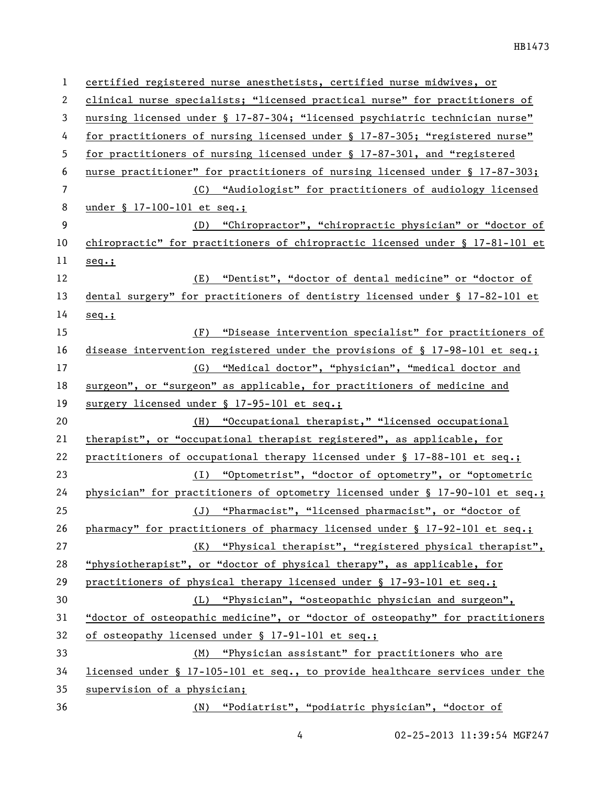| $\mathbf 1$ | certified registered nurse anesthetists, certified nurse midwives, or           |
|-------------|---------------------------------------------------------------------------------|
| 2           | clinical nurse specialists; "licensed practical nurse" for practitioners of     |
| 3           | nursing licensed under § 17-87-304; "licensed psychiatric technician nurse"     |
| 4           | for practitioners of nursing licensed under § 17-87-305; "registered nurse"     |
| 5           | <u>for practitioners of nursing licensed under § 17-87-301, and "registered</u> |
| 6           | nurse practitioner" for practitioners of nursing licensed under § 17-87-303;    |
| 7           | (C) "Audiologist" for practitioners of audiology licensed                       |
| 8           | under § 17-100-101 et seq.;                                                     |
| 9           | (D) "Chiropractor", "chiropractic physician" or "doctor of                      |
| 10          | chiropractic" for practitioners of chiropractic licensed under § 17-81-101 et   |
| 11          | $seq.$ ;                                                                        |
| 12          | "Dentist", "doctor of dental medicine" or "doctor of<br>(E)                     |
| 13          | dental surgery" for practitioners of dentistry licensed under § 17-82-101 et    |
| 14          | $seq.$ ;                                                                        |
| 15          | (F) "Disease intervention specialist" for practitioners of                      |
| 16          | disease intervention registered under the provisions of $\S$ 17-98-101 et seq.; |
| 17          | (G) "Medical doctor", "physician", "medical doctor and                          |
| 18          | surgeon", or "surgeon" as applicable, for practitioners of medicine and         |
|             |                                                                                 |
| 19          | surgery licensed under § 17-95-101 et seq.;                                     |
| 20          | (H) "Occupational therapist," "licensed occupational                            |
| 21          | therapist", or "occupational therapist registered", as applicable, for          |
| 22          | practitioners of occupational therapy licensed under § 17-88-101 et seq.;       |
| 23          | (I) "Optometrist", "doctor of optometry", or "optometric                        |
| 24          | physician" for practitioners of optometry licensed under § 17-90-101 et seq.;   |
| 25          | (J) "Pharmacist", "licensed pharmacist", or "doctor of                          |
| 26          | pharmacy" for practitioners of pharmacy licensed under § 17-92-101 et seq.;     |
| 27          | (K) "Physical therapist", "registered physical therapist",                      |
| 28          | "physiotherapist", or "doctor of physical therapy", as applicable, for          |
| 29          | practitioners of physical therapy licensed under § 17-93-101 et seq.;           |
| 30          | (L) "Physician", "osteopathic physician and surgeon",                           |
| 31          | "doctor of osteopathic medicine", or "doctor of osteopathy" for practitioners   |
| 32          | of osteopathy licensed under § 17-91-101 et seq.;                               |
| 33          | (M) "Physician assistant" for practitioners who are                             |
| 34          | licensed under § 17-105-101 et seq., to provide healthcare services under the   |
| 35          | supervision of a physician;                                                     |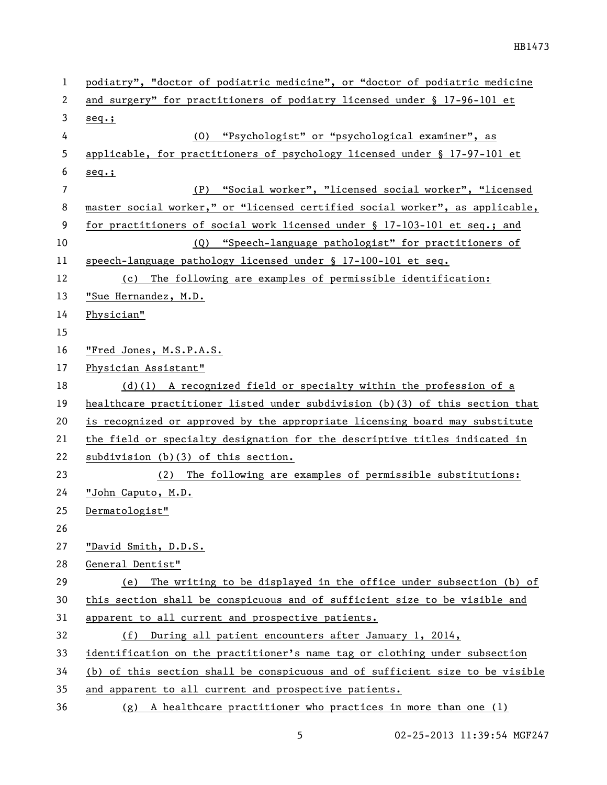| 1              | podiatry", "doctor of podiatric medicine", or "doctor of podiatric medicine   |
|----------------|-------------------------------------------------------------------------------|
| 2              | and surgery" for practitioners of podiatry licensed under § 17-96-101 et      |
| 3              | $seq.$ ;                                                                      |
| 4              | "Psychologist" or "psychological examiner", as<br>(0)                         |
| 5              | applicable, for practitioners of psychology licensed under § 17-97-101 et     |
| 6              | $seq.$ ;                                                                      |
| $\overline{7}$ | "Social worker", "licensed social worker", "licensed<br>(P)                   |
| 8              | master social worker," or "licensed certified social worker", as applicable,  |
| 9              | for practitioners of social work licensed under § 17-103-101 et seq.; and     |
| 10             | (Q) "Speech-language pathologist" for practitioners of                        |
| 11             | speech-language pathology licensed under § 17-100-101 et seq.                 |
| 12             | (c) The following are examples of permissible identification:                 |
| 13             | "Sue Hernandez, M.D.                                                          |
| 14             | Physician"                                                                    |
| 15             |                                                                               |
| 16             | "Fred Jones, M.S.P.A.S.                                                       |
| 17             | Physician Assistant"                                                          |
| 18             | $(d)(1)$ A recognized field or specialty within the profession of a           |
| 19             | healthcare practitioner listed under subdivision (b)(3) of this section that  |
| 20             | is recognized or approved by the appropriate licensing board may substitute   |
| 21             | the field or specialty designation for the descriptive titles indicated in    |
| 22             | subdivision (b)(3) of this section.                                           |
| 23             | (2) The following are examples of permissible substitutions:                  |
| 24             | "John Caputo, M.D.                                                            |
| 25             | Dermatologist"                                                                |
| 26             |                                                                               |
| 27             | "David Smith, D.D.S.                                                          |
| 28             | General Dentist"                                                              |
| 29             | The writing to be displayed in the office under subsection (b) of<br>(e)      |
| 30             | this section shall be conspicuous and of sufficient size to be visible and    |
| 31             | apparent to all current and prospective patients.                             |
| 32             | During all patient encounters after January 1, 2014,<br>(f)                   |
| 33             | identification on the practitioner's name tag or clothing under subsection    |
| 34             | (b) of this section shall be conspicuous and of sufficient size to be visible |
| 35             | and apparent to all current and prospective patients.                         |
| 36             | $(g)$ A healthcare practitioner who practices in more than one (1)            |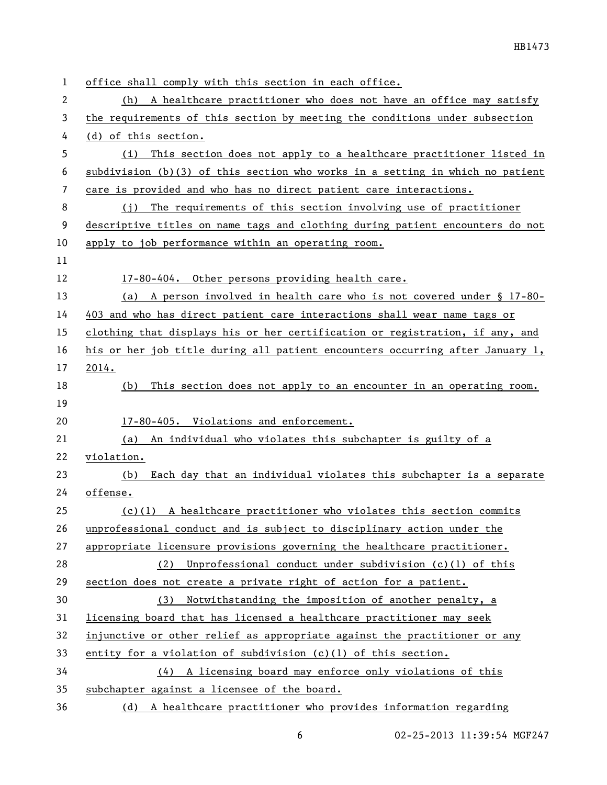| 1  | office shall comply with this section in each office.                         |
|----|-------------------------------------------------------------------------------|
| 2  | A healthcare practitioner who does not have an office may satisfy<br>(h)      |
| 3  | the requirements of this section by meeting the conditions under subsection   |
| 4  | (d) of this section.                                                          |
| 5  | This section does not apply to a healthcare practitioner listed in<br>(i)     |
| 6  | subdivision (b)(3) of this section who works in a setting in which no patient |
| 7  | care is provided and who has no direct patient care interactions.             |
| 8  | The requirements of this section involving use of practitioner<br>(i)         |
| 9  | descriptive titles on name tags and clothing during patient encounters do not |
| 10 | apply to job performance within an operating room.                            |
| 11 |                                                                               |
| 12 | 17-80-404. Other persons providing health care.                               |
| 13 | (a) A person involved in health care who is not covered under § 17-80-        |
| 14 | 403 and who has direct patient care interactions shall wear name tags or      |
| 15 | clothing that displays his or her certification or registration, if any, and  |
| 16 | his or her job title during all patient encounters occurring after January 1, |
| 17 | 2014.                                                                         |
| 18 | This section does not apply to an encounter in an operating room.<br>(b)      |
| 19 |                                                                               |
| 20 | 17-80-405. Violations and enforcement.                                        |
| 21 | An individual who violates this subchapter is guilty of a<br>(a)              |
| 22 | violation.                                                                    |
| 23 | Each day that an individual violates this subchapter is a separate<br>(b)     |
| 24 | offense.                                                                      |
| 25 | $(c)(1)$ A healthcare practitioner who violates this section commits          |
| 26 | unprofessional conduct and is subject to disciplinary action under the        |
| 27 | appropriate licensure provisions governing the healthcare practitioner.       |
| 28 | Unprofessional conduct under subdivision $(c)(1)$ of this<br>(2)              |
| 29 | section does not create a private right of action for a patient.              |
| 30 | Notwithstanding the imposition of another penalty, a<br>(3)                   |
| 31 | licensing board that has licensed a healthcare practitioner may seek          |
| 32 | injunctive or other relief as appropriate against the practitioner or any     |
| 33 | entity for a violation of subdivision $(c)(1)$ of this section.               |
| 34 | $(4)$ A licensing board may enforce only violations of this                   |
| 35 | subchapter against a licensee of the board.                                   |
| 36 | (d) A healthcare practitioner who provides information regarding              |